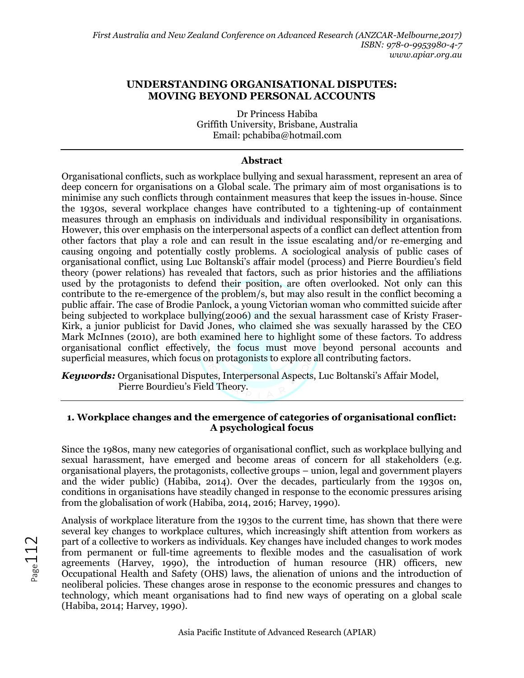## **UNDERSTANDING ORGANISATIONAL DISPUTES: MOVING BEYOND PERSONAL ACCOUNTS**

Dr Princess Habiba Griffith University, Brisbane, Australia Email: pchabiba@hotmail.com

### **Abstract**

Organisational conflicts, such as workplace bullying and sexual harassment, represent an area of deep concern for organisations on a Global scale. The primary aim of most organisations is to minimise any such conflicts through containment measures that keep the issues in-house. Since the 1930s, several workplace changes have contributed to a tightening-up of containment measures through an emphasis on individuals and individual responsibility in organisations. However, this over emphasis on the interpersonal aspects of a conflict can deflect attention from other factors that play a role and can result in the issue escalating and/or re-emerging and causing ongoing and potentially costly problems. A sociological analysis of public cases of organisational conflict, using Luc Boltanski's affair model (process) and Pierre Bourdieu's field theory (power relations) has revealed that factors, such as prior histories and the affiliations used by the protagonists to defend their position, are often overlooked. Not only can this contribute to the re-emergence of the problem/s, but may also result in the conflict becoming a public affair. The case of Brodie Panlock, a young Victorian woman who committed suicide after being subjected to workplace bullying(2006) and the sexual harassment case of Kristy Fraser-Kirk, a junior publicist for David Jones, who claimed she was sexually harassed by the CEO Mark McInnes (2010), are both examined here to highlight some of these factors. To address organisational conflict effectively, the focus must move beyond personal accounts and superficial measures, which focus on protagonists to explore all contributing factors.

*Keywords:* Organisational Disputes, Interpersonal Aspects, Luc Boltanski's Affair Model, Pierre Bourdieu's Field Theory.

### **1. Workplace changes and the emergence of categories of organisational conflict: A psychological focus**

Since the 1980s, many new categories of organisational conflict, such as workplace bullying and sexual harassment, have emerged and become areas of concern for all stakeholders (e.g. organisational players, the protagonists, collective groups – union, legal and government players and the wider public) (Habiba, 2014). Over the decades, particularly from the 1930s on, conditions in organisations have steadily changed in response to the economic pressures arising from the globalisation of work (Habiba, 2014, 2016; Harvey, 1990).

Analysis of workplace literature from the 1930s to the current time, has shown that there were several key changes to workplace cultures, which increasingly shift attention from workers as part of a collective to workers as individuals. Key changes have included changes to work modes from permanent or full-time agreements to flexible modes and the casualisation of work agreements (Harvey, 1990), the introduction of human resource (HR) officers, new Occupational Health and Safety (OHS) laws, the alienation of unions and the introduction of neoliberal policies. These changes arose in response to the economic pressures and changes to technology, which meant organisations had to find new ways of operating on a global scale (Habiba, 2014; Harvey, 1990).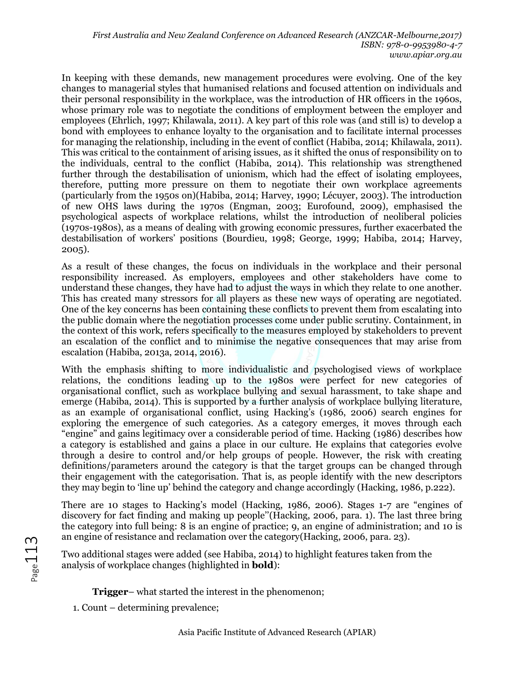In keeping with these demands, new management procedures were evolving. One of the key changes to managerial styles that humanised relations and focused attention on individuals and their personal responsibility in the workplace, was the introduction of HR officers in the 1960s, whose primary role was to negotiate the conditions of employment between the employer and employees (Ehrlich, 1997; Khilawala, 2011). A key part of this role was (and still is) to develop a bond with employees to enhance loyalty to the organisation and to facilitate internal processes for managing the relationship, including in the event of conflict (Habiba, 2014; Khilawala, 2011). This was critical to the containment of arising issues, as it shifted the onus of responsibility on to the individuals, central to the conflict (Habiba, 2014). This relationship was strengthened further through the destabilisation of unionism, which had the effect of isolating employees, therefore, putting more pressure on them to negotiate their own workplace agreements (particularly from the 1950s on)(Habiba, 2014; Harvey, 1990; Lécuyer, 2003). The introduction of new OHS laws during the 1970s (Engman, 2003; Eurofound, 2009), emphasised the psychological aspects of workplace relations, whilst the introduction of neoliberal policies (1970s-1980s), as a means of dealing with growing economic pressures, further exacerbated the destabilisation of workers' positions (Bourdieu, 1998; George, 1999; Habiba, 2014; Harvey, 2005).

As a result of these changes, the focus on individuals in the workplace and their personal responsibility increased. As employers, employees and other stakeholders have come to understand these changes, they have had to adjust the ways in which they relate to one another. This has created many stressors for all players as these new ways of operating are negotiated. One of the key concerns has been containing these conflicts to prevent them from escalating into the public domain where the negotiation processes come under public scrutiny. Containment, in the context of this work, refers specifically to the measures employed by stakeholders to prevent an escalation of the conflict and to minimise the negative consequences that may arise from escalation (Habiba, 2013a, 2014, 2016).

With the emphasis shifting to more individualistic and psychologised views of workplace relations, the conditions leading up to the 1980s were perfect for new categories of organisational conflict, such as workplace bullying and sexual harassment, to take shape and emerge (Habiba, 2014). This is supported by a further analysis of workplace bullying literature, as an example of organisational conflict, using Hacking's (1986, 2006) search engines for exploring the emergence of such categories. As a category emerges, it moves through each "engine" and gains legitimacy over a considerable period of time. Hacking (1986) describes how a category is established and gains a place in our culture. He explains that categories evolve through a desire to control and/or help groups of people. However, the risk with creating definitions/parameters around the category is that the target groups can be changed through their engagement with the categorisation. That is, as people identify with the new descriptors they may begin to 'line up' behind the category and change accordingly (Hacking, 1986, p.222).

There are 10 stages to Hacking's model (Hacking, 1986, 2006). Stages 1-7 are "engines of discovery for fact finding and making up people''(Hacking, 2006, para. 1). The last three bring the category into full being: 8 is an engine of practice; 9, an engine of administration; and 10 is an engine of resistance and reclamation over the category(Hacking, 2006, para. 23).

Two additional stages were added (see Habiba, 2014) to highlight features taken from the analysis of workplace changes (highlighted in **bold**):

**Trigger**– what started the interest in the phenomenon;

1. Count – determining prevalence;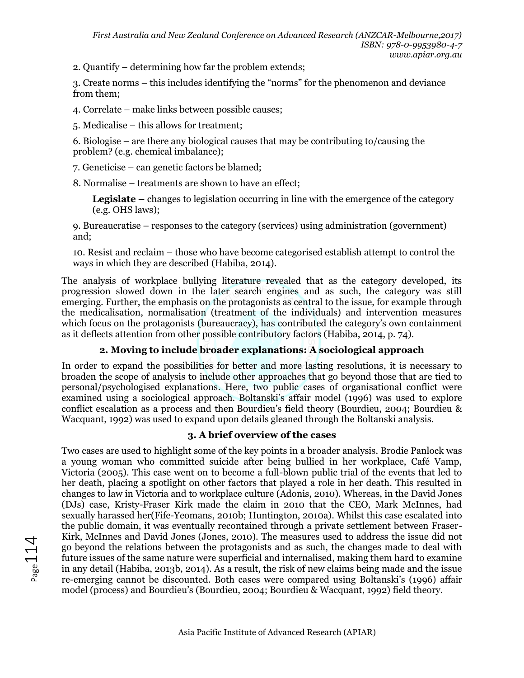2. Quantify – determining how far the problem extends;

3. Create norms – this includes identifying the "norms" for the phenomenon and deviance from them;

4. Correlate – make links between possible causes;

5. Medicalise – this allows for treatment;

6. Biologise – are there any biological causes that may be contributing to/causing the problem? (e.g. chemical imbalance);

7. Geneticise – can genetic factors be blamed;

8. Normalise – treatments are shown to have an effect;

**Legislate –** changes to legislation occurring in line with the emergence of the category (e.g. OHS laws);

9. Bureaucratise – responses to the category (services) using administration (government) and;

10. Resist and reclaim – those who have become categorised establish attempt to control the ways in which they are described (Habiba, 2014).

The analysis of workplace bullying literature revealed that as the category developed, its progression slowed down in the later search engines and as such, the category was still emerging. Further, the emphasis on the protagonists as central to the issue, for example through the medicalisation, normalisation (treatment of the individuals) and intervention measures which focus on the protagonists (bureaucracy), has contributed the category's own containment as it deflects attention from other possible contributory factors (Habiba, 2014, p. 74).

# **2. Moving to include broader explanations: A sociological approach**

In order to expand the possibilities for better and more lasting resolutions, it is necessary to broaden the scope of analysis to include other approaches that go beyond those that are tied to personal/psychologised explanations. Here, two public cases of organisational conflict were examined using a sociological approach. Boltanski's affair model (1996) was used to explore conflict escalation as a process and then Bourdieu's field theory (Bourdieu, 2004; Bourdieu & Wacquant, 1992) was used to expand upon details gleaned through the Boltanski analysis.

# **3. A brief overview of the cases**

Two cases are used to highlight some of the key points in a broader analysis. Brodie Panlock was a young woman who committed suicide after being bullied in her workplace, Café Vamp, Victoria (2005). This case went on to become a full-blown public trial of the events that led to her death, placing a spotlight on other factors that played a role in her death. This resulted in changes to law in Victoria and to workplace culture (Adonis, 2010). Whereas, in the David Jones (DJs) case, Kristy-Fraser Kirk made the claim in 2010 that the CEO, Mark McInnes, had sexually harassed her(Fife-Yeomans, 2010b; Huntington, 2010a). Whilst this case escalated into the public domain, it was eventually recontained through a private settlement between Fraser-Kirk, McInnes and David Jones (Jones, 2010). The measures used to address the issue did not go beyond the relations between the protagonists and as such, the changes made to deal with future issues of the same nature were superficial and internalised, making them hard to examine in any detail (Habiba, 2013b, 2014). As a result, the risk of new claims being made and the issue re-emerging cannot be discounted. Both cases were compared using Boltanski's (1996) affair model (process) and Bourdieu's (Bourdieu, 2004; Bourdieu & Wacquant, 1992) field theory.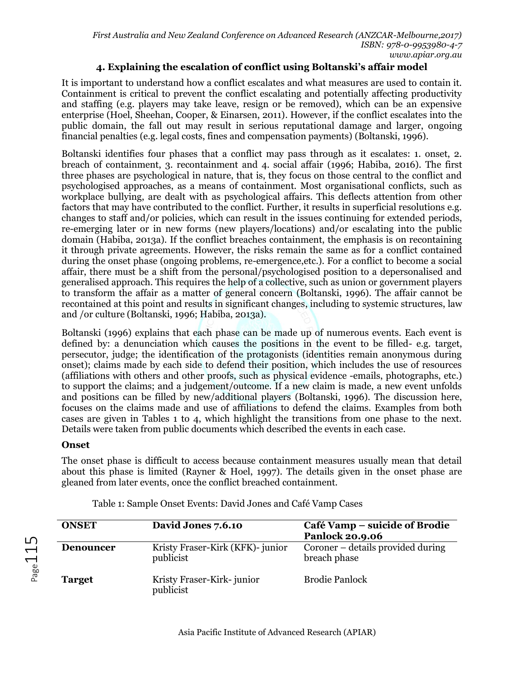# **4. Explaining the escalation of conflict using Boltanski's affair model**

It is important to understand how a conflict escalates and what measures are used to contain it. Containment is critical to prevent the conflict escalating and potentially affecting productivity and staffing (e.g. players may take leave, resign or be removed), which can be an expensive enterprise (Hoel, Sheehan, Cooper, & Einarsen, 2011). However, if the conflict escalates into the public domain, the fall out may result in serious reputational damage and larger, ongoing financial penalties (e.g. legal costs, fines and compensation payments) (Boltanski, 1996).

Boltanski identifies four phases that a conflict may pass through as it escalates: 1. onset, 2. breach of containment, 3. recontainment and 4. social affair (1996; Habiba, 2016). The first three phases are psychological in nature, that is, they focus on those central to the conflict and psychologised approaches, as a means of containment. Most organisational conflicts, such as workplace bullying, are dealt with as psychological affairs. This deflects attention from other factors that may have contributed to the conflict. Further, it results in superficial resolutions e.g. changes to staff and/or policies, which can result in the issues continuing for extended periods, re-emerging later or in new forms (new players/locations) and/or escalating into the public domain (Habiba, 2013a). If the conflict breaches containment, the emphasis is on recontaining it through private agreements. However, the risks remain the same as for a conflict contained during the onset phase (ongoing problems, re-emergence,etc.). For a conflict to become a social affair, there must be a shift from the personal/psychologised position to a depersonalised and generalised approach. This requires the help of a collective, such as union or government players to transform the affair as a matter of general concern (Boltanski, 1996). The affair cannot be recontained at this point and results in significant changes, including to systemic structures, law and /or culture (Boltanski, 1996; Habiba, 2013a).

Boltanski (1996) explains that each phase can be made up of numerous events. Each event is defined by: a denunciation which causes the positions in the event to be filled- e.g. target, persecutor, judge; the identification of the protagonists (identities remain anonymous during onset); claims made by each side to defend their position, which includes the use of resources (affiliations with others and other proofs, such as physical evidence -emails, photographs, etc.) to support the claims; and a judgement/outcome. If a new claim is made, a new event unfolds and positions can be filled by new/additional players (Boltanski, 1996). The discussion here, focuses on the claims made and use of affiliations to defend the claims. Examples from both cases are given in Tables 1 to 4, which highlight the transitions from one phase to the next. Details were taken from public documents which described the events in each case.

# **Onset**

 $P_{\rm age}$ 15

The onset phase is difficult to access because containment measures usually mean that detail about this phase is limited (Rayner & Hoel, 1997). The details given in the onset phase are gleaned from later events, once the conflict breached containment.

| <b>ONSET</b>     | David Jones 7.6.10                            | Café Vamp - suicide of Brodie<br><b>Panlock 20.9.06</b> |
|------------------|-----------------------------------------------|---------------------------------------------------------|
| <b>Denouncer</b> | Kristy Fraser-Kirk (KFK)- junior<br>publicist | Coroner – details provided during<br>breach phase       |
| <b>Target</b>    | Kristy Fraser-Kirk-junior<br>publicist        | <b>Brodie Panlock</b>                                   |

Table 1: Sample Onset Events: David Jones and Café Vamp Cases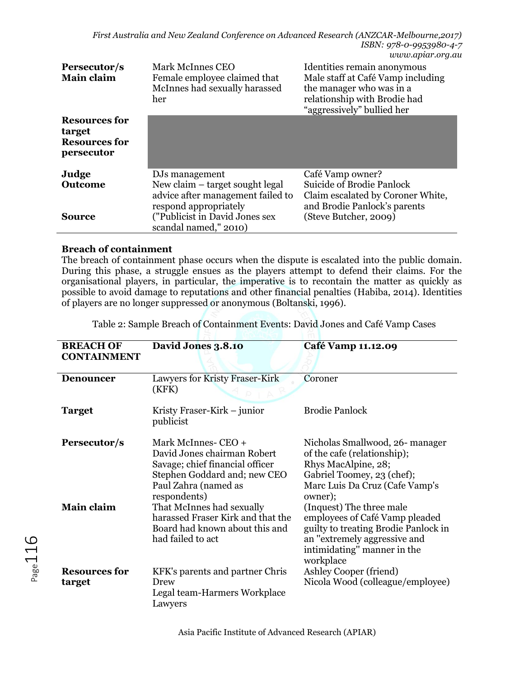| Persecutor/s<br>Main claim                                           | Mark McInnes CEO<br>Female employee claimed that<br>McInnes had sexually harassed<br>her                                                                   | Identities remain anonymous<br>Male staff at Café Vamp including<br>the manager who was in a<br>relationship with Brodie had<br>"aggressively" bullied her |
|----------------------------------------------------------------------|------------------------------------------------------------------------------------------------------------------------------------------------------------|------------------------------------------------------------------------------------------------------------------------------------------------------------|
| <b>Resources for</b><br>target<br><b>Resources for</b><br>persecutor |                                                                                                                                                            |                                                                                                                                                            |
| Judge                                                                | DJs management                                                                                                                                             | Café Vamp owner?                                                                                                                                           |
| <b>Outcome</b><br>Source                                             | New claim $-$ target sought legal<br>advice after management failed to<br>respond appropriately<br>("Publicist in David Jones sex<br>scandal named," 2010) | <b>Suicide of Brodie Panlock</b><br>Claim escalated by Coroner White,<br>and Brodie Panlock's parents<br>(Steve Butcher, 2009)                             |

### **Breach of containment**

The breach of containment phase occurs when the dispute is escalated into the public domain. During this phase, a struggle ensues as the players attempt to defend their claims. For the organisational players, in particular, the imperative is to recontain the matter as quickly as possible to avoid damage to reputations and other financial penalties (Habiba, 2014). Identities of players are no longer suppressed or anonymous (Boltanski, 1996).

Table 2: Sample Breach of Containment Events: David Jones and Café Vamp Cases

| <b>BREACH OF</b><br><b>CONTAINMENT</b> | David Jones 3.8.10                                                                                                                                            | Café Vamp 11.12.09                                                                                                                                                             |
|----------------------------------------|---------------------------------------------------------------------------------------------------------------------------------------------------------------|--------------------------------------------------------------------------------------------------------------------------------------------------------------------------------|
| <b>Denouncer</b>                       | Lawyers for Kristy Fraser-Kirk<br>(KFK)                                                                                                                       | Coroner                                                                                                                                                                        |
| <b>Target</b>                          | Kristy Fraser-Kirk – junior<br>publicist                                                                                                                      | Brodie Panlock                                                                                                                                                                 |
| Persecutor/s                           | Mark McInnes- CEO +<br>David Jones chairman Robert<br>Savage; chief financial officer<br>Stephen Goddard and; new CEO<br>Paul Zahra (named as<br>respondents) | Nicholas Smallwood, 26- manager<br>of the cafe (relationship);<br>Rhys MacAlpine, 28;<br>Gabriel Toomey, 23 (chef);<br>Marc Luis Da Cruz (Cafe Vamp's<br>owner);               |
| <b>Main claim</b>                      | That McInnes had sexually<br>harassed Fraser Kirk and that the<br>Board had known about this and<br>had failed to act                                         | (Inquest) The three male<br>employees of Café Vamp pleaded<br>guilty to treating Brodie Panlock in<br>an "extremely aggressive and<br>intimidating" manner in the<br>workplace |
| <b>Resources for</b><br>target         | KFK's parents and partner Chris<br>Drew<br>Legal team-Harmers Workplace<br>Lawyers                                                                            | Ashley Cooper (friend)<br>Nicola Wood (colleague/employee)                                                                                                                     |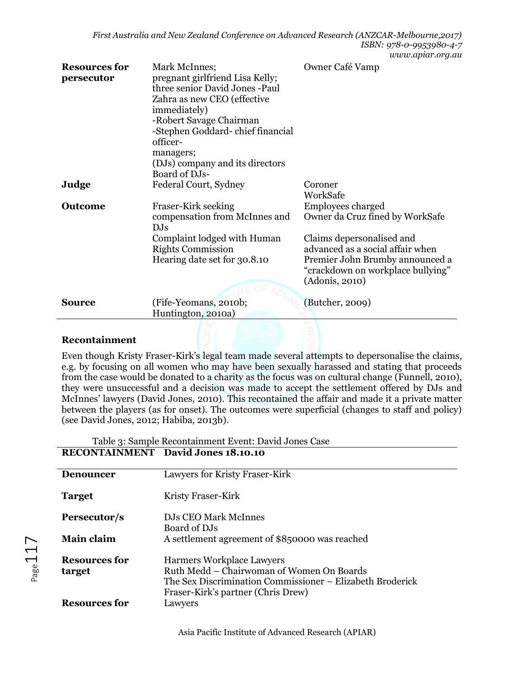|                                    |                                                                                                                                                                                                                                                                               | ww.apia.com                                                                                                                                                                                                     |
|------------------------------------|-------------------------------------------------------------------------------------------------------------------------------------------------------------------------------------------------------------------------------------------------------------------------------|-----------------------------------------------------------------------------------------------------------------------------------------------------------------------------------------------------------------|
| <b>Resources for</b><br>persecutor | Mark McInnes;<br>pregnant girlfriend Lisa Kelly;<br>three senior David Jones -Paul<br>Zahra as new CEO (effective<br>immediately)<br>-Robert Savage Chairman<br>-Stephen Goddard-chief financial<br>officer-<br>managers;<br>(DJs) company and its directors<br>Board of DJs- | Owner Café Vamp                                                                                                                                                                                                 |
| Judge                              | Federal Court, Sydney                                                                                                                                                                                                                                                         | Coroner<br>WorkSafe                                                                                                                                                                                             |
| <b>Outcome</b>                     | Fraser-Kirk seeking<br>compensation from McInnes and<br>DJs<br>Complaint lodged with Human<br><b>Rights Commission</b><br>Hearing date set for 30.8.10                                                                                                                        | Employees charged<br>Owner da Cruz fined by WorkSafe<br>Claims depersonalised and<br>advanced as a social affair when<br>Premier John Brumby announced a<br>"crackdown on workplace bullying"<br>(Adonis, 2010) |
| <b>Source</b>                      | (Fife-Yeomans, 2010b;<br>Huntington, 2010a)                                                                                                                                                                                                                                   | (Butcher, 2009)                                                                                                                                                                                                 |
|                                    |                                                                                                                                                                                                                                                                               |                                                                                                                                                                                                                 |

#### **Recontainment**

 $\overline{a}$ 

Even though Kristy Fraser-Kirk's legal team made several attempts to depersonalise the claims, e.g. by focusing on all women who may have been sexually harassed and stating that proceeds from the case would be donated to a charity as the focus was on cultural change (Funnell, 2010), they were unsuccessful and a decision was made to accept the settlement offered by DJs and McInnes' lawyers (David Jones, 2010). This recontained the affair and made it a private matter between the players (as for onset). The outcomes were superficial (changes to staff and policy) (see David Jones, 2012; Habiba, 2013b).

| Table 3: Sample Recontainment Event: David Jones Case |
|-------------------------------------------------------|
| <b>RECONTAINMENT</b> David Jones 18.10.10             |

| <b>Denouncer</b>               | Lawyers for Kristy Fraser-Kirk                                                                                                                                            |
|--------------------------------|---------------------------------------------------------------------------------------------------------------------------------------------------------------------------|
| <b>Target</b>                  | Kristy Fraser-Kirk                                                                                                                                                        |
| Persecutor/s                   | DJs CEO Mark McInnes                                                                                                                                                      |
| <b>Main claim</b>              | Board of DJs<br>A settlement agreement of \$850000 was reached                                                                                                            |
| <b>Resources for</b><br>target | Harmers Workplace Lawyers<br>Ruth Medd – Chairwoman of Women On Boards<br>The Sex Discrimination Commissioner – Elizabeth Broderick<br>Fraser-Kirk's partner (Chris Drew) |
| <b>Resources for</b>           | Lawyers                                                                                                                                                                   |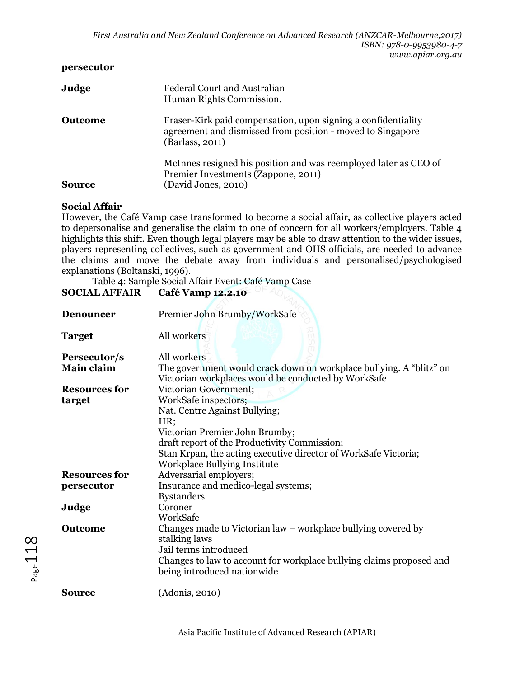#### **persecutor**

| Judge         | Federal Court and Australian<br>Human Rights Commission.                                                                                       |
|---------------|------------------------------------------------------------------------------------------------------------------------------------------------|
| Outcome       | Fraser-Kirk paid compensation, upon signing a confidentiality<br>agreement and dismissed from position - moved to Singapore<br>(Barlass, 2011) |
| <b>Source</b> | McInnes resigned his position and was reemployed later as CEO of<br>Premier Investments (Zappone, 2011)<br>(David Jones, 2010)                 |

#### **Social Affair**

However, the Café Vamp case transformed to become a social affair, as collective players acted to depersonalise and generalise the claim to one of concern for all workers/employers. Table 4 highlights this shift. Even though legal players may be able to draw attention to the wider issues, players representing collectives, such as government and OHS officials, are needed to advance the claims and move the debate away from individuals and personalised/psychologised explanations (Boltanski, 1996).

Table 4: Sample Social Affair Event: Café Vamp Case

| <b>Denouncer</b>     | Premier John Brumby/WorkSafe                                         |
|----------------------|----------------------------------------------------------------------|
|                      |                                                                      |
| <b>Target</b>        | All workers                                                          |
|                      |                                                                      |
| Persecutor/s         | All workers                                                          |
| <b>Main claim</b>    | The government would crack down on workplace bullying. A "blitz" on  |
|                      | Victorian workplaces would be conducted by WorkSafe                  |
| <b>Resources for</b> | Victorian Government;                                                |
| target               | WorkSafe inspectors;                                                 |
|                      | Nat. Centre Against Bullying;                                        |
|                      | HR;                                                                  |
|                      | Victorian Premier John Brumby;                                       |
|                      | draft report of the Productivity Commission;                         |
|                      | Stan Krpan, the acting executive director of WorkSafe Victoria;      |
|                      | Workplace Bullying Institute                                         |
| <b>Resources for</b> | Adversarial employers;                                               |
| persecutor           | Insurance and medico-legal systems;                                  |
|                      | <b>Bystanders</b>                                                    |
| Judge                | Coroner                                                              |
|                      | WorkSafe                                                             |
|                      |                                                                      |
| <b>Outcome</b>       | Changes made to Victorian law - workplace bullying covered by        |
|                      | stalking laws                                                        |
|                      | Jail terms introduced                                                |
|                      | Changes to law to account for workplace bullying claims proposed and |
|                      | being introduced nationwide                                          |
|                      |                                                                      |
| Source               | (Adonis, 2010)                                                       |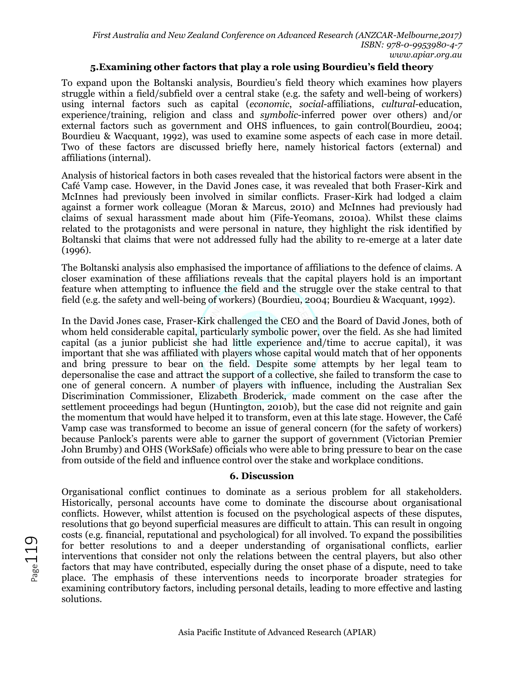### **5.Examining other factors that play a role using Bourdieu's field theory**

To expand upon the Boltanski analysis, Bourdieu's field theory which examines how players struggle within a field/subfield over a central stake (e.g. the safety and well-being of workers) using internal factors such as capital (*economic*, *social*-affiliations, *cultural*-education, experience/training, religion and class and *symbolic*-inferred power over others) and/or external factors such as government and OHS influences, to gain control(Bourdieu, 2004; Bourdieu & Wacquant, 1992), was used to examine some aspects of each case in more detail. Two of these factors are discussed briefly here, namely historical factors (external) and affiliations (internal).

Analysis of historical factors in both cases revealed that the historical factors were absent in the Café Vamp case. However, in the David Jones case, it was revealed that both Fraser-Kirk and McInnes had previously been involved in similar conflicts. Fraser-Kirk had lodged a claim against a former work colleague (Moran & Marcus, 2010) and McInnes had previously had claims of sexual harassment made about him (Fife-Yeomans, 2010a). Whilst these claims related to the protagonists and were personal in nature, they highlight the risk identified by Boltanski that claims that were not addressed fully had the ability to re-emerge at a later date (1996).

The Boltanski analysis also emphasised the importance of affiliations to the defence of claims. A closer examination of these affiliations reveals that the capital players hold is an important feature when attempting to influence the field and the struggle over the stake central to that field (e.g. the safety and well-being of workers) (Bourdieu, 2004; Bourdieu & Wacquant, 1992).

In the David Jones case, Fraser-Kirk challenged the CEO and the Board of David Jones, both of whom held considerable capital, particularly symbolic power, over the field. As she had limited capital (as a junior publicist she had little experience and/time to accrue capital), it was important that she was affiliated with players whose capital would match that of her opponents and bring pressure to bear on the field. Despite some attempts by her legal team to depersonalise the case and attract the support of a collective, she failed to transform the case to one of general concern. A number of players with influence, including the Australian Sex Discrimination Commissioner, Elizabeth Broderick, made comment on the case after the settlement proceedings had begun (Huntington, 2010b), but the case did not reignite and gain the momentum that would have helped it to transform, even at this late stage. However, the Café Vamp case was transformed to become an issue of general concern (for the safety of workers) because Panlock's parents were able to garner the support of government (Victorian Premier John Brumby) and OHS (WorkSafe) officials who were able to bring pressure to bear on the case from outside of the field and influence control over the stake and workplace conditions.

### **6. Discussion**

Organisational conflict continues to dominate as a serious problem for all stakeholders. Historically, personal accounts have come to dominate the discourse about organisational conflicts. However, whilst attention is focused on the psychological aspects of these disputes, resolutions that go beyond superficial measures are difficult to attain. This can result in ongoing costs (e.g. financial, reputational and psychological) for all involved. To expand the possibilities for better resolutions to and a deeper understanding of organisational conflicts, earlier interventions that consider not only the relations between the central players, but also other factors that may have contributed, especially during the onset phase of a dispute, need to take place. The emphasis of these interventions needs to incorporate broader strategies for examining contributory factors, including personal details, leading to more effective and lasting solutions.

Page119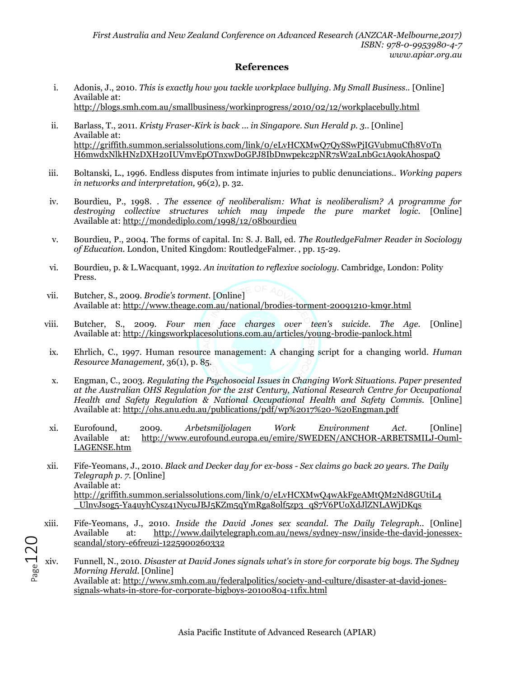#### **References**

- i. Adonis, J., 2010. *This is exactly how you tackle workplace bullying. My Small Business..* [Online] Available at: http://blogs.smh.com.au/smallbusiness/workinprogress/2010/02/12/workplacebully.html
- ii. Barlass, T., 2011. *Kristy Fraser-Kirk is back ... in Singapore. Sun Herald p. 3..* [Online] Available at: http://griffith.summon.serialssolutions.com/link/0/eLvHCXMwQ7QySSwPjIGVubmuCfh8V0Tn H6mwdxNlkHNzDXH20IUVmvEpOTnxwDoGPJ8IbDnwpekc2pNR7sW2aLnbGc1A9okAhospaQ
- iii. Boltanski, L., 1996. Endless disputes from intimate injuries to public denunciations.. *Working papers in networks and interpretation,* 96(2), p. 32.
- iv. Bourdieu, P., 1998. *. The essence of neoliberalism: What is neoliberalism? A programme for destroying collective structures which may impede the pure market logic.* [Online] Available at: http://mondediplo.com/1998/12/08bourdieu
- v. Bourdieu, P., 2004. The forms of capital. In: S. J. Ball, ed. *The RoutledgeFalmer Reader in Sociology of Education.* London, United Kingdom: RoutledgeFalmer. , pp. 15-29.
- vi. Bourdieu, p. & L.Wacquant, 1992. *An invitation to reflexive sociology.* Cambridge, London: Polity Press.
- vii. Butcher, S., 2009. *Brodie's torment.* [Online] Available at: http://www.theage.com.au/national/brodies-torment-20091210-km9r.html
- viii. Butcher, S., 2009. *Four men face charges over teen's suicide. The Age.* [Online] Available at: http://kingsworkplacesolutions.com.au/articles/young-brodie-panlock.html
- ix. Ehrlich, C., 1997. Human resource management: A changing script for a changing world. *Human Resource Management,* 36(1), p. 85.
- x. Engman, C., 2003. *Regulating the Psychosocial Issues in Changing Work Situations. Paper presented at the Australian OHS Regulation for the 21st Century, National Research Centre for Occupational Health and Safety Regulation & National Occupational Health and Safety Commis.* [Online] Available at: http://ohs.anu.edu.au/publications/pdf/wp%2017%20-%20Engman.pdf
- xi. Eurofound, 2009. *Arbetsmiljolagen Work Environment Act.* [Online] Available at: http://www.eurofound.europa.eu/emire/SWEDEN/ANCHOR-ARBETSMILJ-Ouml-LAGENSE.htm
- xii. Fife-Yeomans, J., 2010. *Black and Decker day for ex-boss - Sex claims go back 20 years. The Daily Telegraph p. 7.* [Online] Available at: http://griffith.summon.serialssolutions.com/link/0/eLvHCXMwQ4wAkFgeAMtQM2Nd8GUtiL4 \_UlnvJsog5-Ya4uyhCysz41NycuJBJ5KZm5qYmRga8olf5zp3\_qS7V6PUoXdJlZNLAWjDKqs
- xiii. Fife-Yeomans, J., 2010. *Inside the David Jones sex scandal. The Daily Telegraph..* [Online] Available at: http://www.dailytelegraph.com.au/news/sydney-nsw/inside-the-david-jonessexscandal/story-e6freuzi-1225900260332
- $P_{\text{age}}$  120 xiv. Funnell, N., 2010. *Disaster at David Jones signals what's in store for corporate big boys. The Sydney Morning Herald.* [Online] Available at: http://www.smh.com.au/federalpolitics/society-and-culture/disaster-at-david-jonessignals-whats-in-store-for-corporate-bigboys-20100804-11fix.html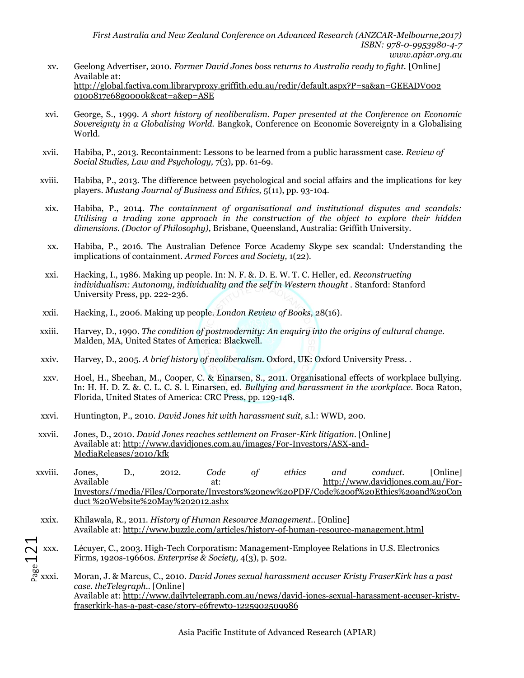- xv. Geelong Advertiser, 2010. *Former David Jones boss returns to Australia ready to fight.* [Online] Available at: http://global.factiva.com.libraryproxy.griffith.edu.au/redir/default.aspx?P=sa&an=GEEADV002 0100817e68g0000k&cat=a&ep=ASE
- xvi. George, S., 1999. *A short history of neoliberalism. Paper presented at the Conference on Economic Sovereignty in a Globalising World.* Bangkok, Conference on Economic Sovereignty in a Globalising World.
- xvii. Habiba, P., 2013. Recontainment: Lessons to be learned from a public harassment case. *Review of Social Studies, Law and Psychology,* 7(3), pp. 61-69.
- xviii. Habiba, P., 2013. The difference between psychological and social affairs and the implications for key players. *Mustang Journal of Business and Ethics,* 5(11), pp. 93-104.
- xix. Habiba, P., 2014. *The containment of organisational and institutional disputes and scandals: Utilising a trading zone approach in the construction of the object to explore their hidden dimensions. (Doctor of Philosophy),* Brisbane, Queensland, Australia: Griffith University.
- xx. Habiba, P., 2016. The Australian Defence Force Academy Skype sex scandal: Understanding the implications of containment. *Armed Forces and Society,* 1(22).
- xxi. Hacking, I., 1986. Making up people. In: N. F. &. D. E. W. T. C. Heller, ed. *Reconstructing individualism: Autonomy, individuality and the self in Western thought . Stanford: Stanford* University Press, pp. 222-236.
- xxii. Hacking, I., 2006. Making up people. *London Review of Books,* 28(16).
- xxiii. Harvey, D., 1990. *The condition of postmodernity: An enquiry into the origins of cultural change.*  Malden, MA, United States of America: Blackwell.
- xxiv. Harvey, D., 2005. *A brief history of neoliberalism.* Oxford, UK: Oxford University Press. .
- xxv. Hoel, H., Sheehan, M., Cooper, C. & Einarsen, S., 2011. Organisational effects of workplace bullying. In: H. H. D. Z. &. C. L. C. S. l. Einarsen, ed. *Bullying and harassment in the workplace.* Boca Raton, Florida, United States of America: CRC Press, pp. 129-148.
- xxvi. Huntington, P., 2010. *David Jones hit with harassment suit,* s.l.: WWD, 200.
- xxvii. Jones, D., 2010. *David Jones reaches settlement on Fraser-Kirk litigation.* [Online] Available at: http://www.davidjones.com.au/images/For-Investors/ASX-and-MediaReleases/2010/kfk
- xxviii. Jones, D., 2012. *Code of ethics and conduct.* [Online] Available at: http://www.davidjones.com.au/For-Investors//media/Files/Corporate/Investors%20new%20PDF/Code%20of%20Ethics%20and%20Con duct %20Website%20May%202012.ashx
- xxix. Khilawala, R., 2011. *History of Human Resource Management..* [Online] Available at: http://www.buzzle.com/articles/history-of-human-resource-management.html
- $\bigcup_{\substack{w\\p\text{as}\n\alpha}}$  xxxi. Lécuyer, C., 2003. High-Tech Corporatism: Management-Employee Relations in U.S. Electronics Firms, 1920s-19660s. *Enterprise & Society,* 4(3), p. 502.
	- xxxi. Moran, J. & Marcus, C., 2010. *David Jones sexual harassment accuser Kristy FraserKirk has a past case. theTelegraph..* [Online] Available at: http://www.dailytelegraph.com.au/news/david-jones-sexual-harassment-accuser-kristyfraserkirk-has-a-past-case/story-e6frewt0-1225902509986

Asia Pacific Institute of Advanced Research (APIAR)